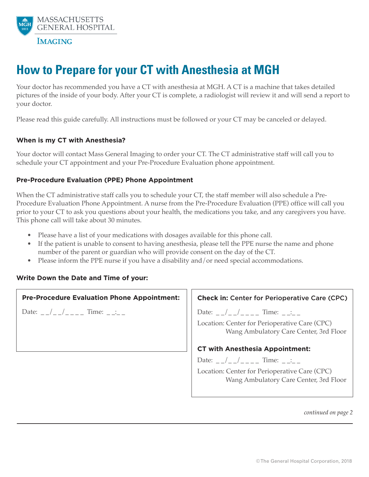

# **How to Prepare for your CT with Anesthesia at MGH**

Your doctor has recommended you have a CT with anesthesia at MGH. A CT is a machine that takes detailed pictures of the inside of your body. After your CT is complete, a radiologist will review it and will send a report to your doctor.

Please read this guide carefully. All instructions must be followed or your CT may be canceled or delayed.

### **When is my CT with Anesthesia?**

Your doctor will contact Mass General Imaging to order your CT. The CT administrative staff will call you to schedule your CT appointment and your Pre-Procedure Evaluation phone appointment.

### **Pre-Procedure Evaluation (PPE) Phone Appointment**

When the CT administrative staff calls you to schedule your CT, the staff member will also schedule a Pre-Procedure Evaluation Phone Appointment. A nurse from the Pre-Procedure Evaluation (PPE) office will call you prior to your CT to ask you questions about your health, the medications you take, and any caregivers you have. This phone call will take about 30 minutes.

- Please have a list of your medications with dosages available for this phone call.
- If the patient is unable to consent to having anesthesia, please tell the PPE nurse the name and phone number of the parent or guardian who will provide consent on the day of the CT.
- Please inform the PPE nurse if you have a disability and/or need special accommodations.

### **Write Down the Date and Time of your:**

#### **Pre-Procedure Evaluation Phone Appointment:**

Date: \_ \_/\_ \_/\_ \_ \_ \_ Time: \_ \_:\_ \_

### **Check in:** Center for Perioperative Care (CPC)

Date: \_ \_/\_ \_/\_ \_ \_ \_ Time: \_ \_:\_ \_

Location: Center for Perioperative Care (CPC) Wang Ambulatory Care Center, 3rd Floor

### **CT with Anesthesia Appointment:**

Date: \_ \_/\_ \_/\_ \_ \_ \_ Time: \_ \_:\_ \_ Location: Center for Perioperative Care (CPC) Wang Ambulatory Care Center, 3rd Floor

*continued on page 2*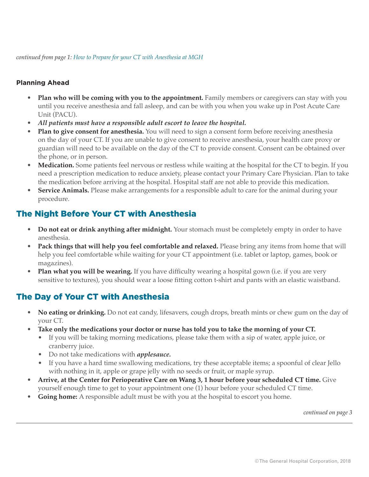*continued from page 1: How to Prepare for your CT with Anesthesia at MGH*

### **Planning Ahead**

- **Plan who will be coming with you to the appointment.** Family members or caregivers can stay with you until you receive anesthesia and fall asleep, and can be with you when you wake up in Post Acute Care Unit (PACU).
- *All patients must have a responsible adult escort to leave the hospital.*
- **Plan to give consent for anesthesia.** You will need to sign a consent form before receiving anesthesia on the day of your CT. If you are unable to give consent to receive anesthesia, your health care proxy or guardian will need to be available on the day of the CT to provide consent. Consent can be obtained over the phone, or in person.
- Medication. Some patients feel nervous or restless while waiting at the hospital for the CT to begin. If you need a prescription medication to reduce anxiety, please contact your Primary Care Physician. Plan to take the medication before arriving at the hospital. Hospital staff are not able to provide this medication.
- **Service Animals.** Please make arrangements for a responsible adult to care for the animal during your procedure.

### The Night Before Your CT with Anesthesia

- **Do not eat or drink anything after midnight.** Your stomach must be completely empty in order to have anesthesia.
- **Pack things that will help you feel comfortable and relaxed.** Please bring any items from home that will help you feel comfortable while waiting for your CT appointment (i.e. tablet or laptop, games, book or magazines).
- **Plan what you will be wearing.** If you have difficulty wearing a hospital gown (i.e. if you are very sensitive to textures), you should wear a loose fitting cotton t-shirt and pants with an elastic waistband.

# The Day of Your CT with Anesthesia

- **No eating or drinking.** Do not eat candy, lifesavers, cough drops, breath mints or chew gum on the day of your CT.
- Take only the medications your doctor or nurse has told you to take the morning of your CT.
	- If you will be taking morning medications, please take them with a sip of water, apple juice, or cranberry juice.
	- Do not take medications with *applesauce.*
	- If you have a hard time swallowing medications, try these acceptable items; a spoonful of clear Jello with nothing in it, apple or grape jelly with no seeds or fruit, or maple syrup.
- **Arrive, at the Center for Perioperative Care on Wang 3, 1 hour before your scheduled CT time.** Give yourself enough time to get to your appointment one (1) hour before your scheduled CT time.
- **Going home:** A responsible adult must be with you at the hospital to escort you home.

*continued on page 3*